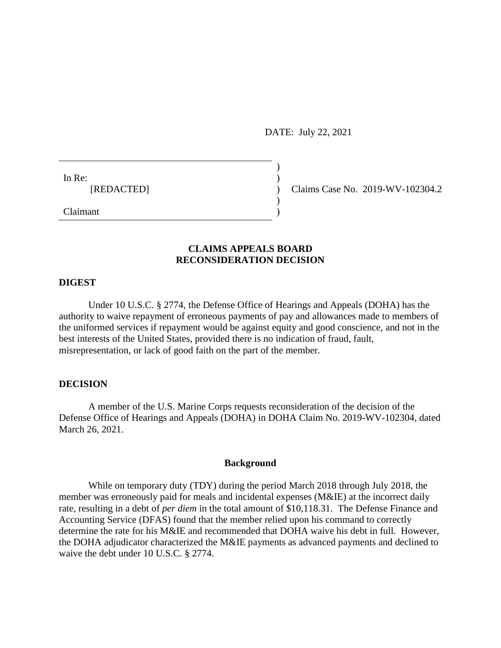DATE: July 22, 2021

)

)

In Re:  $\qquad \qquad$ )

[REDACTED] ) Claims Case No. 2019-WV-102304.2

Claimant )

# **CLAIMS APPEALS BOARD RECONSIDERATION DECISION**

### **DIGEST**

Under 10 U.S.C. § 2774, the Defense Office of Hearings and Appeals (DOHA) has the authority to waive repayment of erroneous payments of pay and allowances made to members of the uniformed services if repayment would be against equity and good conscience, and not in the best interests of the United States, provided there is no indication of fraud, fault, misrepresentation, or lack of good faith on the part of the member.

# **DECISION**

A member of the U.S. Marine Corps requests reconsideration of the decision of the Defense Office of Hearings and Appeals (DOHA) in DOHA Claim No. 2019-WV-102304, dated March 26, 2021.

### **Background**

While on temporary duty (TDY) during the period March 2018 through July 2018, the member was erroneously paid for meals and incidental expenses (M&IE) at the incorrect daily rate, resulting in a debt of *per diem* in the total amount of \$10,118.31. The Defense Finance and Accounting Service (DFAS) found that the member relied upon his command to correctly determine the rate for his M&IE and recommended that DOHA waive his debt in full. However, the DOHA adjudicator characterized the M&IE payments as advanced payments and declined to waive the debt under 10 U.S.C. § 2774.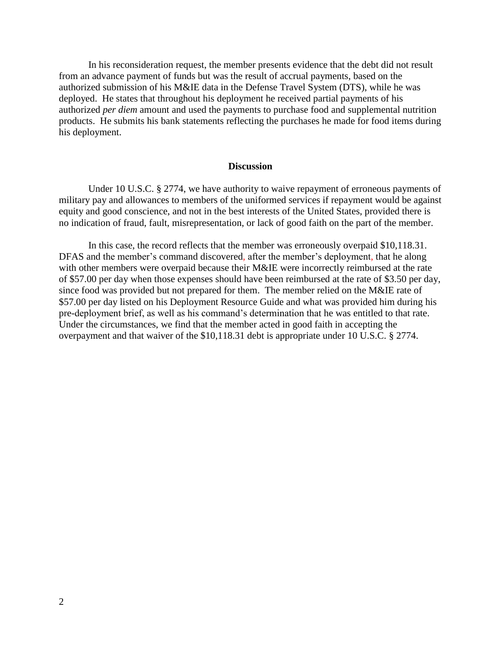In his reconsideration request, the member presents evidence that the debt did not result from an advance payment of funds but was the result of accrual payments, based on the authorized submission of his M&IE data in the Defense Travel System (DTS), while he was deployed. He states that throughout his deployment he received partial payments of his authorized *per diem* amount and used the payments to purchase food and supplemental nutrition products. He submits his bank statements reflecting the purchases he made for food items during his deployment.

#### **Discussion**

Under 10 U.S.C. § 2774, we have authority to waive repayment of erroneous payments of military pay and allowances to members of the uniformed services if repayment would be against equity and good conscience, and not in the best interests of the United States, provided there is no indication of fraud, fault, misrepresentation, or lack of good faith on the part of the member.

In this case, the record reflects that the member was erroneously overpaid \$10,118.31. DFAS and the member's command discovered, after the member's deployment, that he along with other members were overpaid because their M&IE were incorrectly reimbursed at the rate of \$57.00 per day when those expenses should have been reimbursed at the rate of \$3.50 per day, since food was provided but not prepared for them. The member relied on the M&IE rate of \$57.00 per day listed on his Deployment Resource Guide and what was provided him during his pre-deployment brief, as well as his command's determination that he was entitled to that rate. Under the circumstances, we find that the member acted in good faith in accepting the overpayment and that waiver of the \$10,118.31 debt is appropriate under 10 U.S.C. § 2774.